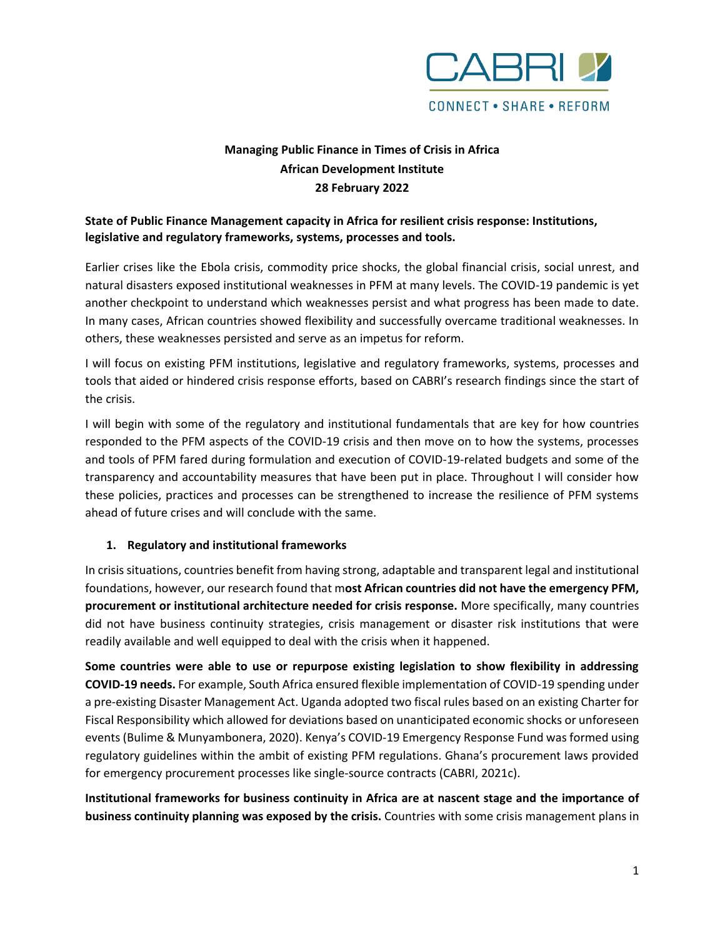

# **Managing Public Finance in Times of Crisis in Africa African Development Institute 28 February 2022**

## **State of Public Finance Management capacity in Africa for resilient crisis response: Institutions, legislative and regulatory frameworks, systems, processes and tools.**

Earlier crises like the Ebola crisis, commodity price shocks, the global financial crisis, social unrest, and natural disasters exposed institutional weaknesses in PFM at many levels. The COVID-19 pandemic is yet another checkpoint to understand which weaknesses persist and what progress has been made to date. In many cases, African countries showed flexibility and successfully overcame traditional weaknesses. In others, these weaknesses persisted and serve as an impetus for reform.

I will focus on existing PFM institutions, legislative and regulatory frameworks, systems, processes and tools that aided or hindered crisis response efforts, based on CABRI's research findings since the start of the crisis.

I will begin with some of the regulatory and institutional fundamentals that are key for how countries responded to the PFM aspects of the COVID-19 crisis and then move on to how the systems, processes and tools of PFM fared during formulation and execution of COVID-19-related budgets and some of the transparency and accountability measures that have been put in place. Throughout I will consider how these policies, practices and processes can be strengthened to increase the resilience of PFM systems ahead of future crises and will conclude with the same.

## **1. Regulatory and institutional frameworks**

In crisis situations, countries benefit from having strong, adaptable and transparent legal and institutional foundations, however, our research found that m**ost African countries did not have the emergency PFM, procurement or institutional architecture needed for crisis response.** More specifically, many countries did not have business continuity strategies, crisis management or disaster risk institutions that were readily available and well equipped to deal with the crisis when it happened.

**Some countries were able to use or repurpose existing legislation to show flexibility in addressing COVID-19 needs.** For example, South Africa ensured flexible implementation of COVID-19 spending under a pre-existing Disaster Management Act. Uganda adopted two fiscal rules based on an existing Charter for Fiscal Responsibility which allowed for deviations based on unanticipated economic shocks or unforeseen events (Bulime & Munyambonera, 2020). Kenya's COVID-19 Emergency Response Fund was formed using regulatory guidelines within the ambit of existing PFM regulations. Ghana's procurement laws provided for emergency procurement processes like single-source contracts (CABRI, 2021c).

**Institutional frameworks for business continuity in Africa are at nascent stage and the importance of business continuity planning was exposed by the crisis.** Countries with some crisis management plans in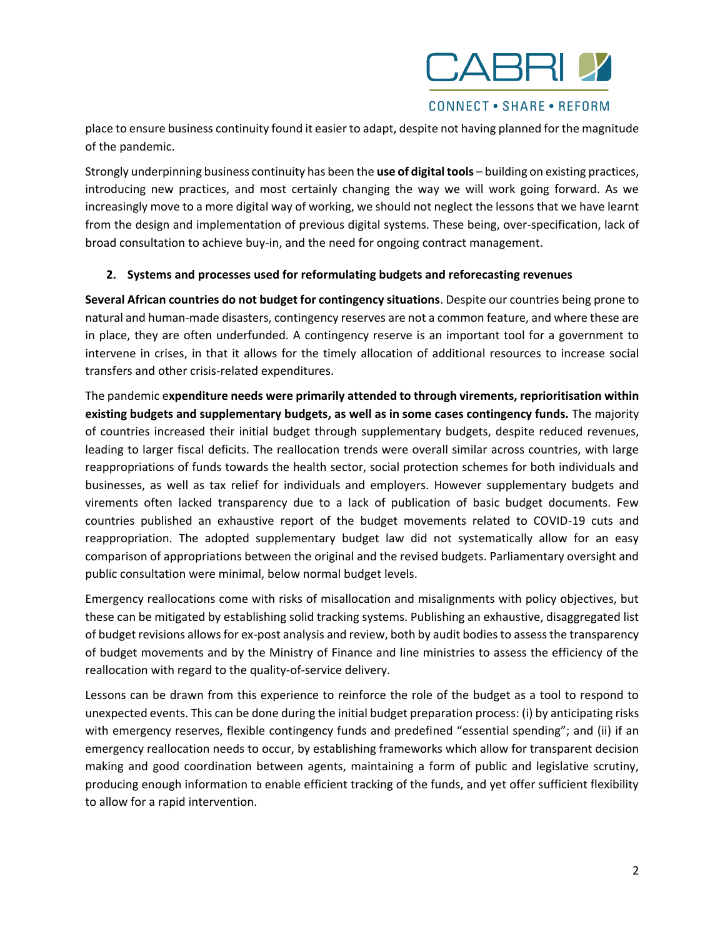

#### **CONNECT • SHARE • REFORM**

place to ensure business continuity found it easier to adapt, despite not having planned for the magnitude of the pandemic.

Strongly underpinning business continuity has been the **use of digital tools** – building on existing practices, introducing new practices, and most certainly changing the way we will work going forward. As we increasingly move to a more digital way of working, we should not neglect the lessons that we have learnt from the design and implementation of previous digital systems. These being, over-specification, lack of broad consultation to achieve buy-in, and the need for ongoing contract management.

### **2. Systems and processes used for reformulating budgets and reforecasting revenues**

**Several African countries do not budget for contingency situations**. Despite our countries being prone to natural and human-made disasters, contingency reserves are not a common feature, and where these are in place, they are often underfunded. A contingency reserve is an important tool for a government to intervene in crises, in that it allows for the timely allocation of additional resources to increase social transfers and other crisis-related expenditures.

The pandemic e**xpenditure needs were primarily attended to through virements, reprioritisation within existing budgets and supplementary budgets, as well as in some cases contingency funds.** The majority of countries increased their initial budget through supplementary budgets, despite reduced revenues, leading to larger fiscal deficits. The reallocation trends were overall similar across countries, with large reappropriations of funds towards the health sector, social protection schemes for both individuals and businesses, as well as tax relief for individuals and employers. However supplementary budgets and virements often lacked transparency due to a lack of publication of basic budget documents. Few countries published an exhaustive report of the budget movements related to COVID-19 cuts and reappropriation. The adopted supplementary budget law did not systematically allow for an easy comparison of appropriations between the original and the revised budgets. Parliamentary oversight and public consultation were minimal, below normal budget levels.

Emergency reallocations come with risks of misallocation and misalignments with policy objectives, but these can be mitigated by establishing solid tracking systems. Publishing an exhaustive, disaggregated list of budget revisions allows for ex-post analysis and review, both by audit bodies to assess the transparency of budget movements and by the Ministry of Finance and line ministries to assess the efficiency of the reallocation with regard to the quality-of-service delivery.

Lessons can be drawn from this experience to reinforce the role of the budget as a tool to respond to unexpected events. This can be done during the initial budget preparation process: (i) by anticipating risks with emergency reserves, flexible contingency funds and predefined "essential spending"; and (ii) if an emergency reallocation needs to occur, by establishing frameworks which allow for transparent decision making and good coordination between agents, maintaining a form of public and legislative scrutiny, producing enough information to enable efficient tracking of the funds, and yet offer sufficient flexibility to allow for a rapid intervention.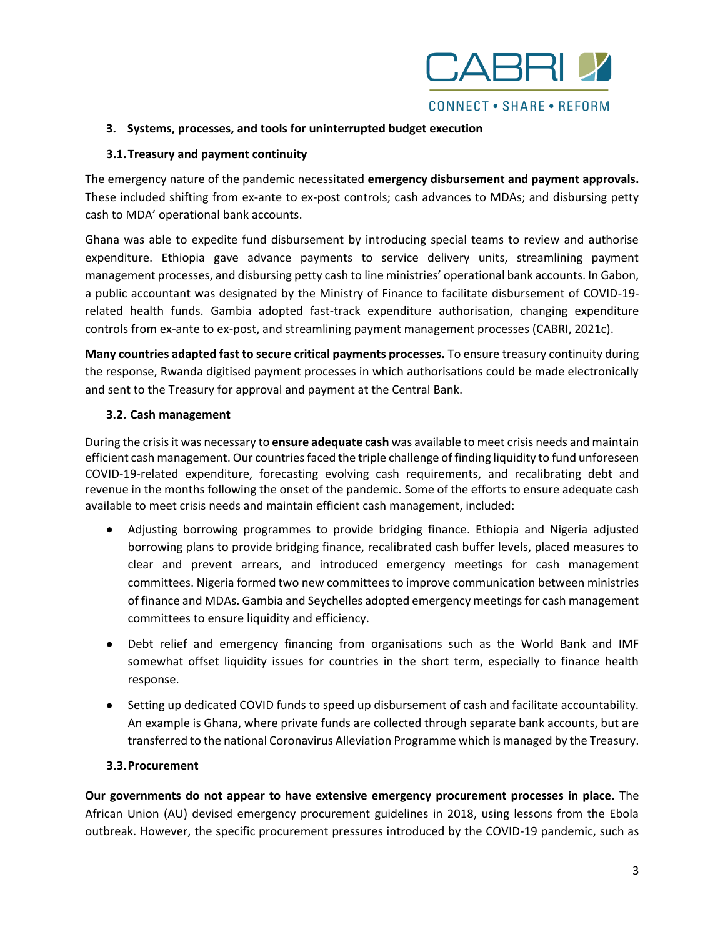

### **3. Systems, processes, and tools for uninterrupted budget execution**

### **3.1.Treasury and payment continuity**

The emergency nature of the pandemic necessitated **emergency disbursement and payment approvals.**  These included shifting from ex-ante to ex-post controls; cash advances to MDAs; and disbursing petty cash to MDA' operational bank accounts.

Ghana was able to expedite fund disbursement by introducing special teams to review and authorise expenditure. Ethiopia gave advance payments to service delivery units, streamlining payment management processes, and disbursing petty cash to line ministries' operational bank accounts. In Gabon, a public accountant was designated by the Ministry of Finance to facilitate disbursement of COVID-19 related health funds. Gambia adopted fast-track expenditure authorisation, changing expenditure controls from ex-ante to ex-post, and streamlining payment management processes (CABRI, 2021c).

**Many countries adapted fast to secure critical payments processes.** To ensure treasury continuity during the response, Rwanda digitised payment processes in which authorisations could be made electronically and sent to the Treasury for approval and payment at the Central Bank.

### **3.2. Cash management**

During the crisis it was necessary to **ensure adequate cash** was available to meet crisis needs and maintain efficient cash management. Our countries faced the triple challenge of finding liquidity to fund unforeseen COVID-19-related expenditure, forecasting evolving cash requirements, and recalibrating debt and revenue in the months following the onset of the pandemic. Some of the efforts to ensure adequate cash available to meet crisis needs and maintain efficient cash management, included:

- Adjusting borrowing programmes to provide bridging finance. Ethiopia and Nigeria adjusted borrowing plans to provide bridging finance, recalibrated cash buffer levels, placed measures to clear and prevent arrears, and introduced emergency meetings for cash management committees. Nigeria formed two new committees to improve communication between ministries of finance and MDAs. Gambia and Seychelles adopted emergency meetings for cash management committees to ensure liquidity and efficiency.
- Debt relief and emergency financing from organisations such as the World Bank and IMF somewhat offset liquidity issues for countries in the short term, especially to finance health response.
- Setting up dedicated COVID funds to speed up disbursement of cash and facilitate accountability. An example is Ghana, where private funds are collected through separate bank accounts, but are transferred to the national Coronavirus Alleviation Programme which is managed by the Treasury.

### **3.3.Procurement**

**Our governments do not appear to have extensive emergency procurement processes in place.** The African Union (AU) devised emergency procurement guidelines in 2018, using lessons from the Ebola outbreak. However, the specific procurement pressures introduced by the COVID-19 pandemic, such as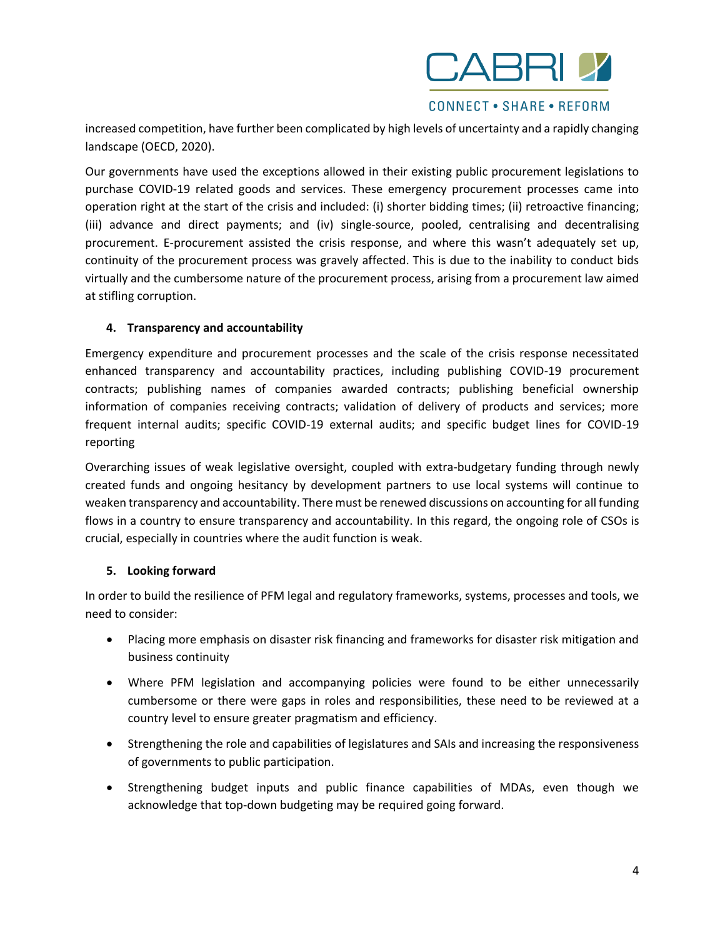

**CONNECT • SHARE • REFORM** 

increased competition, have further been complicated by high levels of uncertainty and a rapidly changing landscape (OECD, 2020).

Our governments have used the exceptions allowed in their existing public procurement legislations to purchase COVID-19 related goods and services. These emergency procurement processes came into operation right at the start of the crisis and included: (i) shorter bidding times; (ii) retroactive financing; (iii) advance and direct payments; and (iv) single-source, pooled, centralising and decentralising procurement. E-procurement assisted the crisis response, and where this wasn't adequately set up, continuity of the procurement process was gravely affected. This is due to the inability to conduct bids virtually and the cumbersome nature of the procurement process, arising from a procurement law aimed at stifling corruption.

### **4. Transparency and accountability**

Emergency expenditure and procurement processes and the scale of the crisis response necessitated enhanced transparency and accountability practices, including publishing COVID-19 procurement contracts; publishing names of companies awarded contracts; publishing beneficial ownership information of companies receiving contracts; validation of delivery of products and services; more frequent internal audits; specific COVID-19 external audits; and specific budget lines for COVID-19 reporting

Overarching issues of weak legislative oversight, coupled with extra-budgetary funding through newly created funds and ongoing hesitancy by development partners to use local systems will continue to weaken transparency and accountability. There must be renewed discussions on accounting for all funding flows in a country to ensure transparency and accountability. In this regard, the ongoing role of CSOs is crucial, especially in countries where the audit function is weak.

#### **5. Looking forward**

In order to build the resilience of PFM legal and regulatory frameworks, systems, processes and tools, we need to consider:

- Placing more emphasis on disaster risk financing and frameworks for disaster risk mitigation and business continuity
- Where PFM legislation and accompanying policies were found to be either unnecessarily cumbersome or there were gaps in roles and responsibilities, these need to be reviewed at a country level to ensure greater pragmatism and efficiency.
- Strengthening the role and capabilities of legislatures and SAIs and increasing the responsiveness of governments to public participation.
- Strengthening budget inputs and public finance capabilities of MDAs, even though we acknowledge that top-down budgeting may be required going forward.